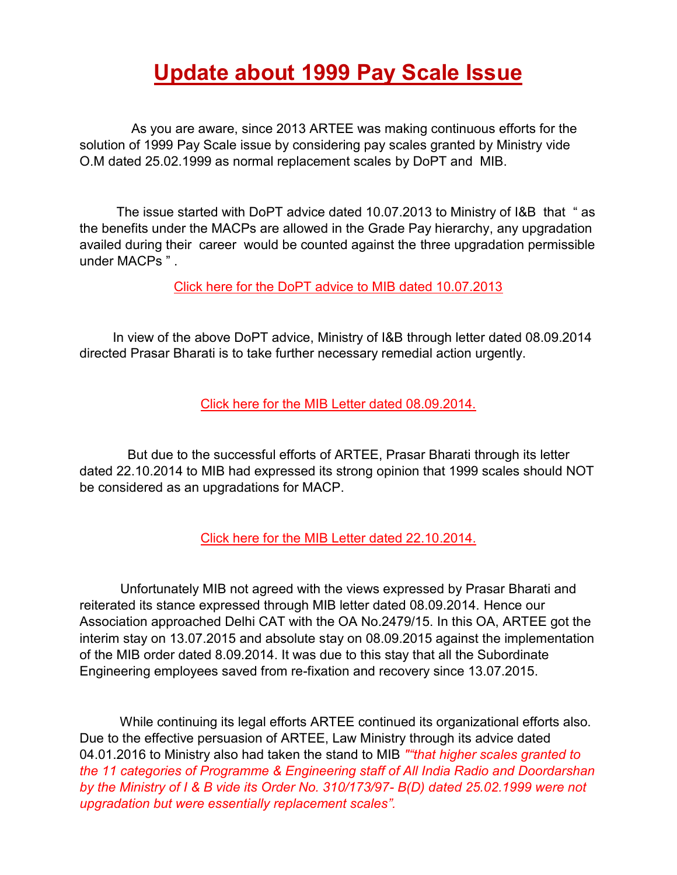## **Update about 1999 Pay Scale Issue**

 As you are aware, since 2013 ARTEE was making continuous efforts for the solution of 1999 Pay Scale issue by considering pay scales granted by Ministry vide O.M dated 25.02.1999 as normal replacement scales by DoPT and MIB.

 The issue started with DoPT advice dated 10.07.2013 to Ministry of I&B that " as the benefits under the MACPs are allowed in the Grade Pay hierarchy, any upgradation availed during their career would be counted against the three upgradation permissible under MACPs " .

[Click here for the DoPT advice to MIB dated 10.07.2013](http://arteeindia.org/central/2020/DoPT_advice_to_MIB_dated_10.07.2013.pdf) 

 In view of the above DoPT advice, Ministry of I&B through letter dated 08.09.2014 directed Prasar Bharati is to take further necessary remedial action urgently.

[Click here for the MIB Letter dated 08.09.2014.](http://arteeindia.org/central/2020/MIB_to_PB_dated_08.09.2014.pdf) 

 But due to the successful efforts of ARTEE, Prasar Bharati through its letter dated 22.10.2014 to MIB had expressed its strong opinion that 1999 scales should NOT be considered as an upgradations for MACP.

[Click here for the MIB Letter dated 22.10.2014.](http://arteeindia.org/central/2020/PB_to_MIB_dated_22.10.2014.pdf) 

 Unfortunately MIB not agreed with the views expressed by Prasar Bharati and reiterated its stance expressed through MIB letter dated 08.09.2014. Hence our Association approached Delhi CAT with the OA No.2479/15. In this OA, ARTEE got the interim stay on 13.07.2015 and absolute stay on 08.09.2015 against the implementation of the MIB order dated 8.09.2014. It was due to this stay that all the Subordinate Engineering employees saved from re-fixation and recovery since 13.07.2015.

 While continuing its legal efforts ARTEE continued its organizational efforts also. Due to the effective persuasion of ARTEE, Law Ministry through its advice dated 04.01.2016 to Ministry also had taken the stand to MIB *""that higher scales granted to the 11 categories of Programme & Engineering staff of All India Radio and Doordarshan by the Ministry of I & B vide its Order No. 310/173/97- B(D) dated 25.02.1999 were not upgradation but were essentially replacement scales".*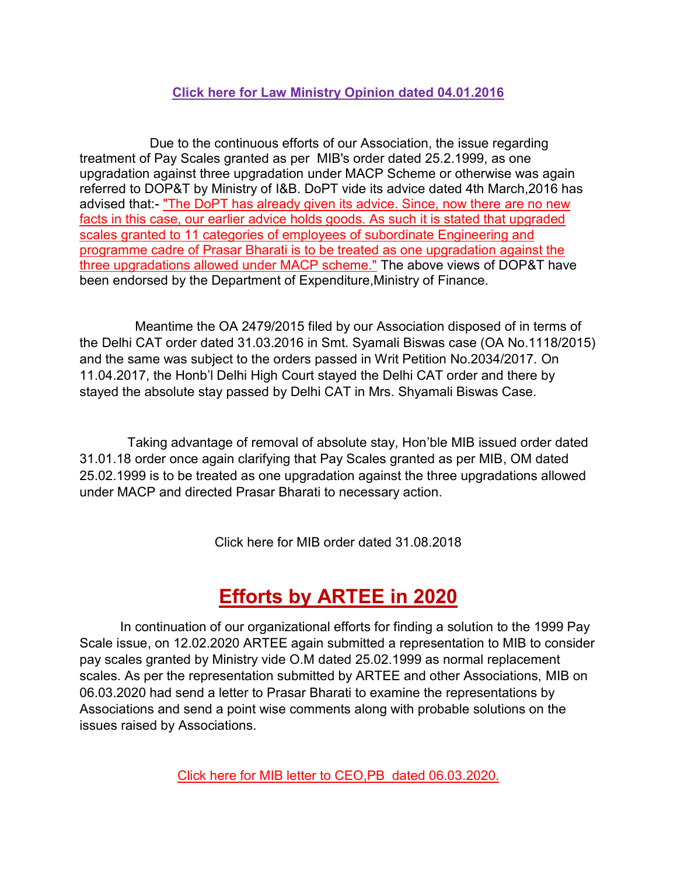### **[Click here for Law Ministry Opinion dated 04.01.2016](http://arteeindia.org/central/2020/DOLA_advice_to_MIB_dated_04.01.2016.pdf)**

 Due to the continuous efforts of our Association, the issue regarding treatment of Pay Scales granted as per MIB's order dated 25.2.1999, as one upgradation against three upgradation under MACP Scheme or otherwise was again referred to DOP&T by Ministry of I&B. DoPT vide its advice dated 4th March,2016 has advised that:- "The DoPT has already given its advice. Since, now there are no new facts in this case, our earlier advice holds goods. As such it is stated that upgraded scales granted to 11 categories of employees of subordinate Engineering and programme cadre of Prasar Bharati is to be treated as one upgradation against the three upgradations allowed under MACP scheme." The above views of DOP&T have been endorsed by the Department of Expenditure,Ministry of Finance.

 Meantime the OA 2479/2015 filed by our Association disposed of in terms of the Delhi CAT order dated 31.03.2016 in Smt. Syamali Biswas case (OA No.1118/2015) and the same was subject to the orders passed in Writ Petition No.2034/2017. On 11.04.2017, the Honb'l Delhi High Court stayed the Delhi CAT order and there by stayed the absolute stay passed by Delhi CAT in Mrs. Shyamali Biswas Case.

 Taking advantage of removal of absolute stay, Hon'ble MIB issued order dated 31.01.18 order once again clarifying that Pay Scales granted as per MIB, OM dated 25.02.1999 is to be treated as one upgradation against the three upgradations allowed under MACP and directed Prasar Bharati to necessary action.

Click here for MIB order dated 31.08.2018

## **Efforts by ARTEE in 2020**

 In continuation of our organizational efforts for finding a solution to the 1999 Pay Scale issue, on 12.02.2020 ARTEE again submitted a representation to MIB to consider pay scales granted by Ministry vide O.M dated 25.02.1999 as normal replacement scales. As per the representation submitted by ARTEE and other Associations, MIB on 06.03.2020 had send a letter to Prasar Bharati to examine the representations by Associations and send a point wise comments along with probable solutions on the issues raised by Associations.

[Click here for MIB letter to CEO,PB dated 06.03.2020.](http://arteeindia.org/central/2020/MIB_letter_to_CEO_PB%20_dated_06.03.2020.pdf)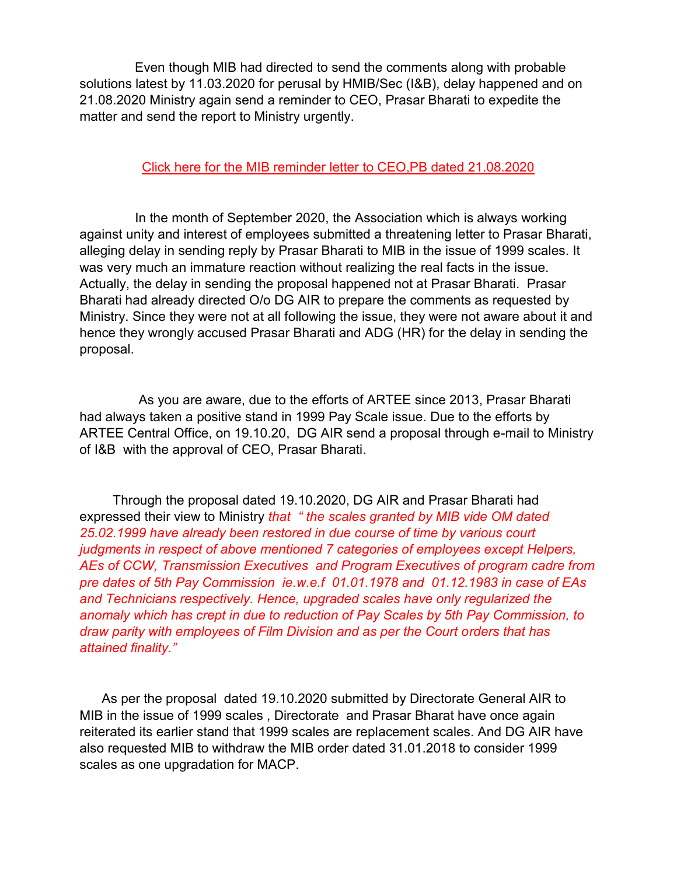Even though MIB had directed to send the comments along with probable solutions latest by 11.03.2020 for perusal by HMIB/Sec (I&B), delay happened and on 21.08.2020 Ministry again send a reminder to CEO, Prasar Bharati to expedite the matter and send the report to Ministry urgently.

#### [Click here for the MIB reminder letter to CEO,PB dated 21.08.2020](http://arteeindia.org/central/2020/MIB_reminder_letter_to_CEO_PB_dated_21.08.2020.pdf)

 In the month of September 2020, the Association which is always working against unity and interest of employees submitted a threatening letter to Prasar Bharati, alleging delay in sending reply by Prasar Bharati to MIB in the issue of 1999 scales. It was very much an immature reaction without realizing the real facts in the issue. Actually, the delay in sending the proposal happened not at Prasar Bharati. Prasar Bharati had already directed O/o DG AIR to prepare the comments as requested by Ministry. Since they were not at all following the issue, they were not aware about it and hence they wrongly accused Prasar Bharati and ADG (HR) for the delay in sending the proposal.

 As you are aware, due to the efforts of ARTEE since 2013, Prasar Bharati had always taken a positive stand in 1999 Pay Scale issue. Due to the efforts by ARTEE Central Office, on 19.10.20, DG AIR send a proposal through e-mail to Ministry of I&B with the approval of CEO, Prasar Bharati.

 Through the proposal dated 19.10.2020, DG AIR and Prasar Bharati had expressed their view to Ministry *that " the scales granted by MIB vide OM dated 25.02.1999 have already been restored in due course of time by various court judgments in respect of above mentioned 7 categories of employees except Helpers, AEs of CCW, Transmission Executives and Program Executives of program cadre from pre dates of 5th Pay Commission ie.w.e.f 01.01.1978 and 01.12.1983 in case of EAs and Technicians respectively. Hence, upgraded scales have only regularized the anomaly which has crept in due to reduction of Pay Scales by 5th Pay Commission, to draw parity with employees of Film Division and as per the Court orders that has attained finality."*

 As per the proposal dated 19.10.2020 submitted by Directorate General AIR to MIB in the issue of 1999 scales , Directorate and Prasar Bharat have once again reiterated its earlier stand that 1999 scales are replacement scales. And DG AIR have also requested MIB to withdraw the MIB order dated 31.01.2018 to consider 1999 scales as one upgradation for MACP.